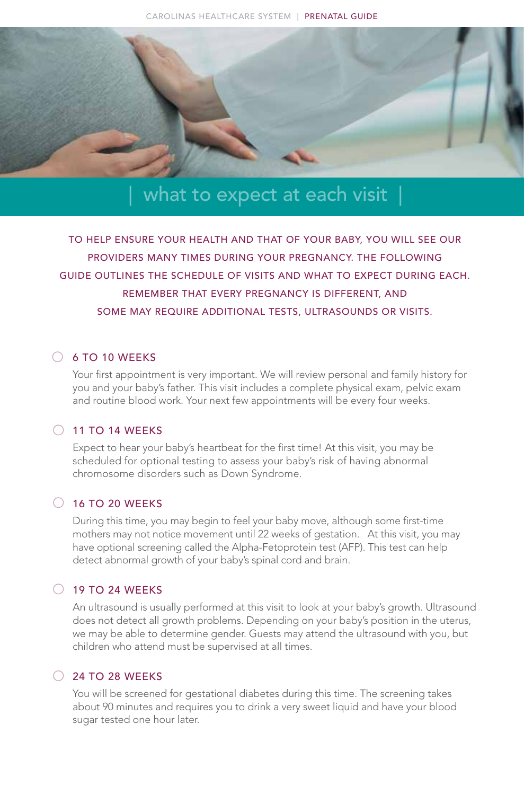

# what to expect at each visit

TO HELP ENSURE YOUR HEALTH AND THAT OF YOUR BABY, YOU WILL SEE OUR PROVIDERS MANY TIMES DURING YOUR PREGNANCY. THE FOLLOWING GUIDE OUTLINES THE SCHEDULE OF VISITS AND WHAT TO EXPECT DURING EACH. REMEMBER THAT EVERY PREGNANCY IS DIFFERENT, AND SOME MAY REQUIRE ADDITIONAL TESTS, ULTRASOUNDS OR VISITS.

#### $\bigcirc$  6 TO 10 WEEKS

Your first appointment is very important. We will review personal and family history for you and your baby's father. This visit includes a complete physical exam, pelvic exam and routine blood work. Your next few appointments will be every four weeks.

#### $\bigcirc$  11 TO 14 WEEKS

Expect to hear your baby's heartbeat for the first time! At this visit, you may be scheduled for optional testing to assess your baby's risk of having abnormal chromosome disorders such as Down Syndrome.

### $\bigcirc$  16 TO 20 WEEKS

During this time, you may begin to feel your baby move, although some first-time mothers may not notice movement until 22 weeks of gestation. At this visit, you may have optional screening called the Alpha-Fetoprotein test (AFP). This test can help detect abnormal growth of your baby's spinal cord and brain.

#### $\bigcirc$  19 TO 24 WEEKS

An ultrasound is usually performed at this visit to look at your baby's growth. Ultrasound does not detect all growth problems. Depending on your baby's position in the uterus, we may be able to determine gender. Guests may attend the ultrasound with you, but children who attend must be supervised at all times.

#### $\bigcirc$  24 TO 28 WEEKS

You will be screened for gestational diabetes during this time. The screening takes about 90 minutes and requires you to drink a very sweet liquid and have your blood sugar tested one hour later.